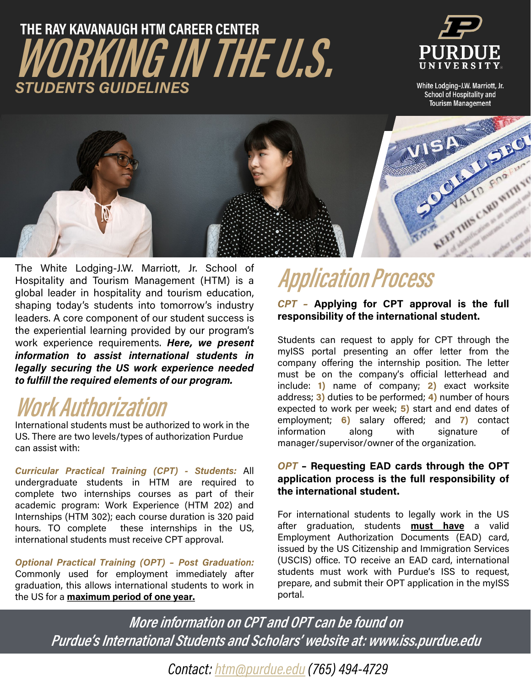## **WORKING IN THE U.S. THE RAY KAVANAUGH HTM CAREER CENTER** *STUDENTS GUIDELINES*



White Lodging-J.W. Marriott, Jr. School of Hospitality and **Tourism Management** 



The White Lodging-J.W. Marriott, Jr. School of **Application Process** Hospitality and Tourism Management (HTM) is a global leader in hospitality and tourism education, shaping today's students into tomorrow's industry leaders. A core component of our student success is the experiential learning provided by our program's work experience requirements. *Here, we present information to assist international students in legally securing the US work experience needed to fulfill the required elements of our program.*

### **Work Authorization**

International students must be authorized to work in the US. There are two levels/types of authorization Purdue can assist with:

*Curricular Practical Training (CPT) - Students:* All undergraduate students in HTM are required to complete two internships courses as part of their academic program: Work Experience (HTM 202) and Internships (HTM 302); each course duration is 320 paid hours. TO complete these internships in the US, international students must receive CPT approval.

*Optional Practical Training (OPT) – Post Graduation:* Commonly used for employment immediately after graduation, this allows international students to work in the US for a **maximum period of one year.**

*CPT –* **Applying for CPT approval is the full responsibility of the international student.**

Students can request to apply for CPT through the myISS portal presenting an offer letter from the company offering the internship position. The letter must be on the company's official letterhead and include: **1)** name of company; **2)** exact worksite address; **3)** duties to be performed; **4)** number of hours expected to work per week; **5)** start and end dates of employment; **6)** salary offered; and **7)** contact information along with signature of manager/supervisor/owner of the organization.

#### *OPT* **– Requesting EAD cards through the OPT application process is the full responsibility of the international student.**

For international students to legally work in the US after graduation, students **must have** a valid Employment Authorization Documents (EAD) card, issued by the US Citizenship and Immigration Services (USCIS) office. TO receive an EAD card, international students must work with Purdue's ISS to request, prepare, and submit their OPT application in the myISS portal.

**More information on CPT and OPT can be found on Purdue's International Students and Scholars' website at: www.iss.purdue.edu**

*Contact: [htm@purdue.edu](mailto:htm@purdue.edu) (765) 494-4729*